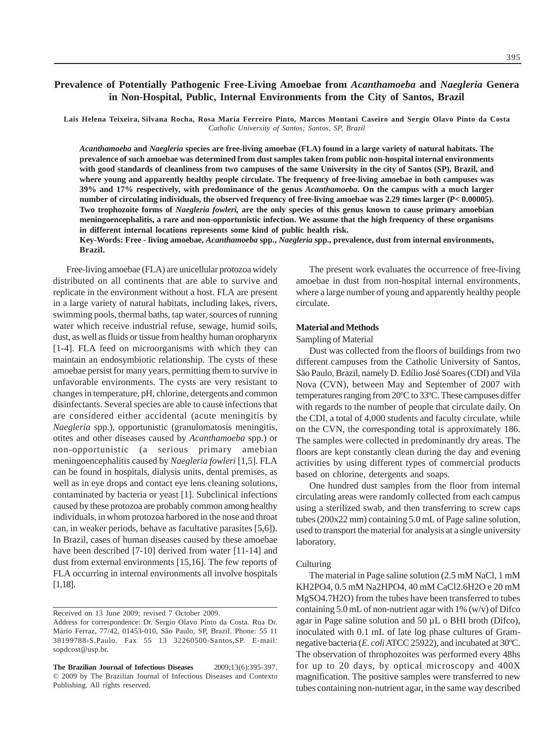# **Prevalence of Potentially Pathogenic Free-Living Amoebae from** *Acanthamoeba* **and** *Naegleria* **Genera in Non-Hospital, Public, Internal Environments from the City of Santos, Brazil**

**Lais Helena Teixeira, Silvana Rocha, Rosa Maria Ferreiro Pinto, Marcos Montani Caseiro and Sergio Olavo Pinto da Costa** *Catholic University of Santos; Santos, SP, Brazil*

*Acanthamoeba* **and** *Naegleria* **species are free-living amoebae (FLA) found in a large variety of natural habitats. The prevalence of such amoebae was determined from dust samples taken from public non-hospital internal environments with good standards of cleanliness from two campuses of the same University in the city of Santos (SP), Brazil, and where young and apparently healthy people circulate. The frequency of free-living amoebae in both campuses was 39% and 17% respectively, with predominance of the genus** *Acanthamoeba***. On the campus with a much larger number of circulating individuals, the observed frequency of free-living amoebae was 2.29 times larger (P< 0.00005). Two trophozoite forms of** *Naegleria fowleri,* **are the only species of this genus known to cause primary amoebian meningoencephalitis, a rare and non-opportunistic infection. We assume that the high frequency of these organisms in different internal locations represents some kind of public health risk.**

**Key-Words: Free - living amoebae,** *Acanthamoeba* **spp.,** *Naegleria* **spp., prevalence, dust from internal environments, Brazil.**

Free-living amoebae (FLA) are unicellular protozoa widely distributed on all continents that are able to survive and replicate in the environment without a host. FLA are present in a large variety of natural habitats, including lakes, rivers, swimming pools, thermal baths, tap water, sources of running water which receive industrial refuse, sewage, humid soils, dust, as well as fluids or tissue from healthy human oropharynx [1-4]. FLA feed on microorganisms with which they can maintain an endosymbiotic relationship. The cysts of these amoebae persist for many years, permitting them to survive in unfavorable environments. The cysts are very resistant to changes in temperature, pH, chlorine, detergents and common disinfectants. Several species are able to cause infections that are considered either accidental (acute meningitis by *Naegleria* spp.), opportunistic (granulomatosis meningitis, otites and other diseases caused by *Acanthamoeba* spp.) or non-opportunistic (a serious primary amebian meningoencephalitis caused by *Naegleria fowleri* [1,5]. FLA can be found in hospitals, dialysis units, dental premises, as well as in eye drops and contact eye lens cleaning solutions, contaminated by bacteria or yeast [1]. Subclinical infections caused by these protozoa are probably common among healthy individuals, in whom protozoa harbored in the nose and throat can, in weaker periods, behave as facultative parasites [5,6]). In Brazil, cases of human diseases caused by these amoebae have been described [7-10] derived from water [11-14] and dust from external environments [15,16]. The few reports of FLA occurring in internal environments all involve hospitals [1,18].

Received on 13 June 2009; revised 7 October 2009.

The present work evaluates the occurrence of free-living amoebae in dust from non-hospital internal environments, where a large number of young and apparently healthy people circulate.

## **Material and Methods**

Sampling of Material

Dust was collected from the floors of buildings from two different campuses from the Catholic University of Santos, São Paulo, Brazil, namely D. Edílio José Soares (CDI) and Vila Nova (CVN), between May and September of 2007 with temperatures ranging from 20ºC to 33ºC. These campuses differ with regards to the number of people that circulate daily. On the CDI, a total of 4,000 students and faculty circulate, while on the CVN, the corresponding total is approximately 186. The samples were collected in predominantly dry areas. The floors are kept constantly clean during the day and evening activities by using different types of commercial products based on chlorine, detergents and soaps.

One hundred dust samples from the floor from internal circulating areas were randomly collected from each campus using a sterilized swab, and then transferring to screw caps tubes (200x22 mm) containing 5.0 mL of Page saline solution, used to transport the material for analysis at a single university laboratory.

#### Culturing

The material in Page saline solution (2.5 mM NaCl, 1 mM KH2PO4, 0.5 mM Na2HPO4, 40 mM CaCl2.6H2O e 20 mM MgSO4.7H2O) from the tubes have been transferred to tubes containing 5.0 mL of non-nutrient agar with 1%  $(w/v)$  of Difco agar in Page saline solution and 50 µL o BHI broth (Difco), inoculated with 0.1 mL of late log phase cultures of Gramnegative bacteria (*E. coli* ATCC 25922), and incubated at 30ºC. The observation of throphozoites was performed every 48hs for up to 20 days, by optical microscopy and 400X magnification. The positive samples were transferred to new tubes containing non-nutrient agar, in the same way described

Address for correspondence: Dr. Sergio Olavo Pinto da Costa. Rua Dr. Mário Ferraz, 77/42, 01453-010, São Paulo, SP, Brazil. Phone: 55 11 38199788-S.Paulo. Fax 55 13 32260500-Santos,SP. E-mail: sopdcost@usp.br.

**The Brazilian Journal of Infectious Diseases** 2009;13(6):395-397. © 2009 by The Brazilian Journal of Infectious Diseases and Contexto Publishing. All rights reserved.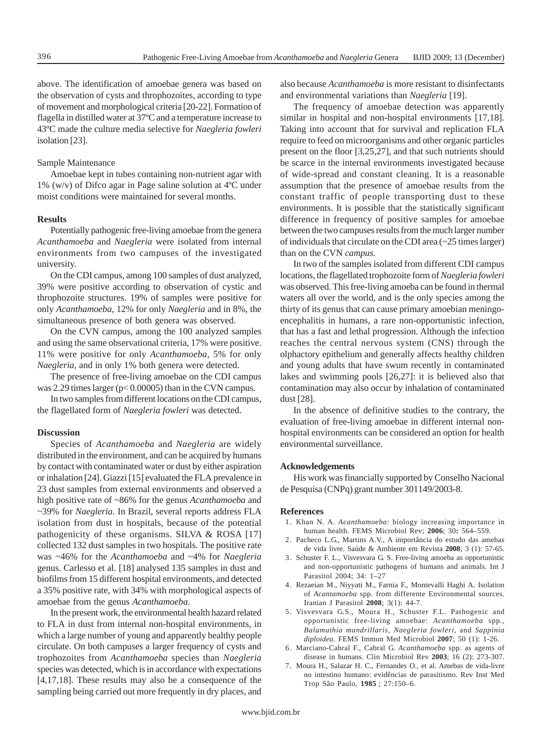above. The identification of amoebae genera was based on the observation of cysts and throphozoites, according to type of movement and morphological criteria [20-22]. Formation of flagella in distilled water at 37ºC and a temperature increase to 43ºC made the culture media selective for *Naegleria fowleri* isolation [23].

## Sample Maintenance

Amoebae kept in tubes containing non-nutrient agar with 1% (w/v) of Difco agar in Page saline solution at 4ºC under moist conditions were maintained for several months.

### **Results**

Potentially pathogenic free-living amoebae from the genera *Acanthamoeba* and *Naegleria* were isolated from internal environments from two campuses of the investigated university.

On the CDI campus, among 100 samples of dust analyzed, 39% were positive according to observation of cystic and throphozoite structures. 19% of samples were positive for only *Acanthamoeba,* 12% for only *Naegleria* and in 8%, the simultaneous presence of both genera was observed.

On the CVN campus, among the 100 analyzed samples and using the same observational criteria, 17% were positive. 11% were positive for only *Acanthamoeba*, 5% for only *Naegleria*, and in only 1% both genera were detected.

The presence of free-living amoebae on the CDI campus was 2.29 times larger (p< 0.00005) than in the CVN campus.

In two samples from different locations on the CDI campus, the flagellated form of *Naegleria fowleri* was detected.

### **Discussion**

Species of *Acanthamoeba* and *Naegleria* are widely distributed in the environment, and can be acquired by humans by contact with contaminated water or dust by either aspiration or inhalation [24]. Giazzi [15] evaluated the FLA prevalence in 23 dust samples from external environments and observed a high positive rate of ~86% for the genus *Acanthamoeba* and ~39% for *Naegleria*. In Brazil, several reports address FLA isolation from dust in hospitals, because of the potential pathogenicity of these organisms. SILVA & ROSA [17] collected 132 dust samples in two hospitals. The positive rate was ~46% for the *Acanthamoeba* and ~4% for *Naegleria* genus. Carlesso et al. [18] analysed 135 samples in dust and biofilms from 15 different hospital environments, and detected a 35% positive rate, with 34% with morphological aspects of amoebae from the genus *Acanthamoeba*.

In the present work, the environmental health hazard related to FLA in dust from internal non-hospital environments, in which a large number of young and apparently healthy people circulate. On both campuses a larger frequency of cysts and trophozoites from *Acanthamoeba* species than *Naegleria* species was detected, which is in accordance with expectations [4,17,18]. These results may also be a consequence of the sampling being carried out more frequently in dry places, and

also because *Acanthamoeba* is more resistant to disinfectants and environmental variations than *Naegleria* [19].

The frequency of amoebae detection was apparently similar in hospital and non-hospital environments [17,18]. Taking into account that for survival and replication FLA require to feed on microorganisms and other organic particles present on the floor [3,25,27], and that such nutrients should be scarce in the internal environments investigated because of wide-spread and constant cleaning. It is a reasonable assumption that the presence of amoebae results from the constant traffic of people transporting dust to these environments. It is possible that the statistically significant difference in frequency of positive samples for amoebae between the two campuses results from the much larger number of individuals that circulate on the CDI area (~25 times larger) than on the CVN *campus.*

In two of the samples isolated from different CDI campus locations, the flagellated trophozoite form of *Naegleria fowleri* was observed. This free-living amoeba can be found in thermal waters all over the world, and is the only species among the thirty of its genus that can cause primary amoebian meningoencephalitis in humans, a rare non-opportunistic infection, that has a fast and lethal progression. Although the infection reaches the central nervous system (CNS) through the olphactory epithelium and generally affects healthy children and young adults that have swum recently in contaminated lakes and swimming pools [26,27]: it is believed also that contamination may also occur by inhalation of contaminated dust [28].

In the absence of definitive studies to the contrary, the evaluation of free-living amoebae in different internal nonhospital environments can be considered an option for health environmental surveillance.

# **Acknowledgements**

His work was financially supported by Conselho Nacional de Pesquisa (CNPq) grant number 301149/2003-8.

#### **References**

- 1. Khan N. A. *Acanthamoeba*: biology increasing importance in human health. FEMS Microbiol Rev; **2006**; 30**:** 564–559.
- 2. Pacheco L.G., Martins A.V., A importância do estudo das amebas de vida livre. Saúde & Ambiente em Revista **2008**; 3 (1): 57-65.
- 3. Schuster F. L., Visvesvara G. S. Free-living amoeba as opportunistic and non-opportunistic pathogens of humans and animals. Int J Parasitol 2004; 34: 1–27
- 4. Rezaeian M., Niyyati M., Farnia F., Montevalli Haghi A. Isolation of *Acantamoeba* spp. from differente Environmental sources. Iranian J Parasitol **2008**; 3(1): 44-7.
- 5. Visvesvara G.S., Moura H., Schuster F.L. Pathogenic and opportunistic free-living amoebae: *Acanthamoeba* spp., *Balamuthia mandrillaris*, *Naegleria fowleri*, and *Sappinia diploidea*. FEMS Immun Med Microbiol **2007**; 50 (1): 1-26.
- 6. Marciano-Cabral F., Cabral G. *Acanthamoeba* spp. as agents of disease in humans. Clin Microbiol Rev **2003**; 16 (2): 273-307.
- 7. Moura H., Salazar H. C., Fernandes O., et al. Amebas de vida-livre no intestino humano: evidências de parasitismo. Rev Inst Med Trop São Paulo, **1985** ; 27:150–6.